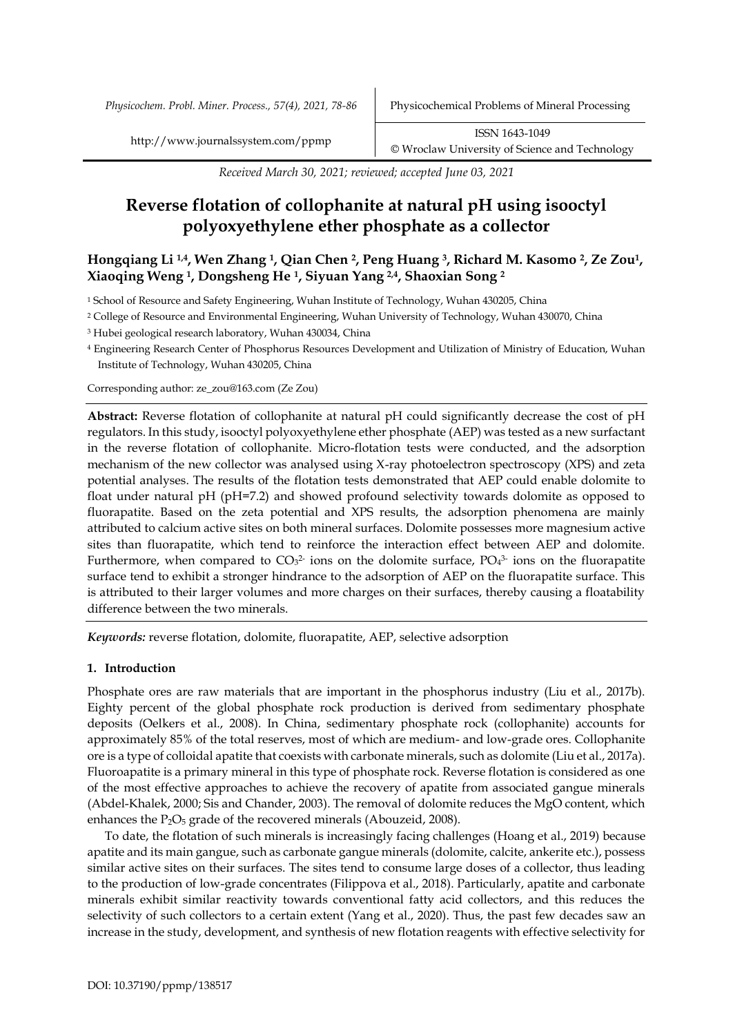*Received March 30, 2021; reviewed; accepted June 03, 2021*

# **Reverse flotation of collophanite at natural pH using isooctyl polyoxyethylene ether phosphate as a collector**

# **Hongqiang Li 1,4, Wen Zhang <sup>1</sup>, Qian Chen <sup>2</sup>, Peng Huang <sup>3</sup>, Richard M. Kasomo <sup>2</sup>, Ze Zou1, Xiaoqing Weng <sup>1</sup>, Dongsheng He <sup>1</sup>, Siyuan Yang 2,4, Shaoxian Song <sup>2</sup>**

<sup>1</sup> School of Resource and Safety Engineering, Wuhan Institute of Technology, Wuhan 430205, China

<sup>2</sup> College of Resource and Environmental Engineering, Wuhan University of Technology, Wuhan 430070, China

<sup>3</sup> Hubei geological research laboratory, Wuhan 430034, China

<sup>4</sup> Engineering Research Center of Phosphorus Resources Development and Utilization of Ministry of Education, Wuhan Institute of Technology, Wuhan 430205, China

Corresponding author: ze\_zou@163.com (Ze Zou)

**Abstract:** Reverse flotation of collophanite at natural pH could significantly decrease the cost of pH regulators. In this study, isooctyl polyoxyethylene ether phosphate (AEP) was tested as a new surfactant in the reverse flotation of collophanite. Micro-flotation tests were conducted, and the adsorption mechanism of the new collector was analysed using X-ray photoelectron spectroscopy (XPS) and zeta potential analyses. The results of the flotation tests demonstrated that AEP could enable dolomite to float under natural pH (pH=7.2) and showed profound selectivity towards dolomite as opposed to fluorapatite. Based on the zeta potential and XPS results, the adsorption phenomena are mainly attributed to calcium active sites on both mineral surfaces. Dolomite possesses more magnesium active sites than fluorapatite, which tend to reinforce the interaction effect between AEP and dolomite. Furthermore, when compared to  $CO<sub>3</sub><sup>2</sup>$  ions on the dolomite surface,  $PO<sub>4</sub><sup>3</sup>$  ions on the fluorapatite surface tend to exhibit a stronger hindrance to the adsorption of AEP on the fluorapatite surface. This is attributed to their larger volumes and more charges on their surfaces, thereby causing a floatability difference between the two minerals.

*Keywords:* reverse flotation, dolomite, fluorapatite, AEP, selective adsorption

## **1. Introduction**

Phosphate ores are raw materials that are important in the phosphorus industry (Liu et al., 2017b). Eighty percent of the global phosphate rock production is derived from sedimentary phosphate deposits (Oelkers et al., 2008). In China, sedimentary phosphate rock (collophanite) accounts for approximately 85% of the total reserves, most of which are medium- and low-grade ores. Collophanite ore is a type of colloidal apatite that coexists with carbonate minerals, such as dolomite (Liu et al., 2017a). Fluoroapatite is a primary mineral in this type of phosphate rock. Reverse flotation is considered as one of the most effective approaches to achieve the recovery of apatite from associated gangue minerals (Abdel-Khalek, 2000; Sis and Chander, 2003). The removal of dolomite reduces the MgO content, which enhances the P<sub>2</sub>O<sub>5</sub> grade of the recovered minerals (Abouzeid, 2008).

To date, the flotation of such minerals is increasingly facing challenges (Hoang et al., 2019) because apatite and its main gangue, such as carbonate gangue minerals (dolomite, calcite, ankerite etc.), possess similar active sites on their surfaces. The sites tend to consume large doses of a collector, thus leading to the production of low-grade concentrates (Filippova et al., 2018). Particularly, apatite and carbonate minerals exhibit similar reactivity towards conventional fatty acid collectors, and this reduces the selectivity of such collectors to a certain extent (Yang et al., 2020). Thus, the past few decades saw an increase in the study, development, and synthesis of new flotation reagents with effective selectivity for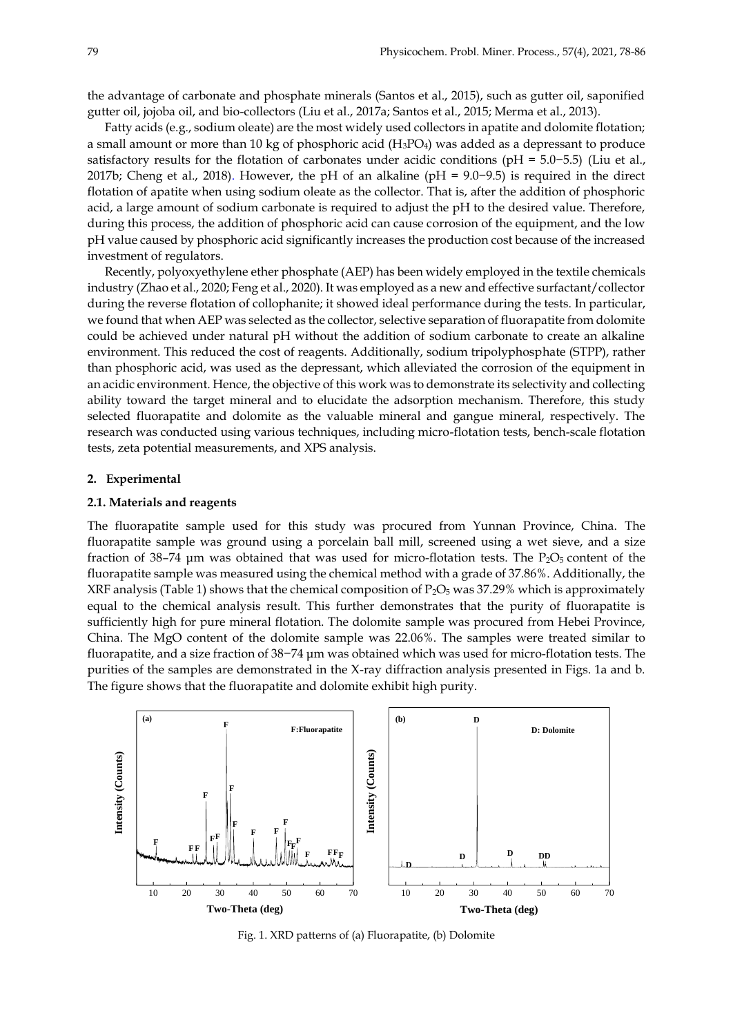the advantage of carbonate and phosphate minerals (Santos et al., 2015), such as gutter oil, saponified gutter oil, jojoba oil, and bio-collectors (Liu et al., 2017a; Santos et al., 2015; Merma et al., 2013).

Fatty acids (e.g., sodium oleate) are the most widely used collectors in apatite and dolomite flotation; a small amount or more than 10 kg of phosphoric acid  $(H_3PO_4)$  was added as a depressant to produce satisfactory results for the flotation of carbonates under acidic conditions (pH = 5.0−5.5) (Liu et al., 2017b; Cheng et al., 2018). However, the pH of an alkaline (pH = 9.0−9.5) is required in the direct flotation of apatite when using sodium oleate as the collector. That is, after the addition of phosphoric acid, a large amount of sodium carbonate is required to adjust the pH to the desired value. Therefore, during this process, the addition of phosphoric acid can cause corrosion of the equipment, and the low pH value caused by phosphoric acid significantly increases the production cost because of the increased investment of regulators.

Recently, polyoxyethylene ether phosphate (AEP) has been widely employed in the textile chemicals industry (Zhao et al., 2020; Feng et al., 2020). It was employed as a new and effective surfactant/collector during the reverse flotation of collophanite; it showed ideal performance during the tests. In particular, we found that when AEP was selected as the collector, selective separation of fluorapatite from dolomite could be achieved under natural pH without the addition of sodium carbonate to create an alkaline environment. This reduced the cost of reagents. Additionally, sodium tripolyphosphate (STPP), rather than phosphoric acid, was used as the depressant, which alleviated the corrosion of the equipment in an acidic environment. Hence, the objective of this work was to demonstrate its selectivity and collecting ability toward the target mineral and to elucidate the adsorption mechanism. Therefore, this study selected fluorapatite and dolomite as the valuable mineral and gangue mineral, respectively. The research was conducted using various techniques, including micro-flotation tests, bench-scale flotation tests, zeta potential measurements, and XPS analysis.

#### **2. Experimental**

## **2.1. Materials and reagents**

The fluorapatite sample used for this study was procured from Yunnan Province, China. The fluorapatite sample was ground using a porcelain ball mill, screened using a wet sieve, and a size fraction of 38–74  $\mu$ m was obtained that was used for micro-flotation tests. The P<sub>2</sub>O<sub>5</sub> content of the fluorapatite sample was measured using the chemical method with a grade of 37.86%. Additionally, the XRF analysis (Table 1) shows that the chemical composition of  $P_2O_5$  was 37.29% which is approximately equal to the chemical analysis result. This further demonstrates that the purity of fluorapatite is sufficiently high for pure mineral flotation. The dolomite sample was procured from Hebei Province, China. The MgO content of the dolomite sample was 22.06%. The samples were treated similar to fluorapatite, and a size fraction of 38−74 μm was obtained which was used for micro-flotation tests. The purities of the samples are demonstrated in the X-ray diffraction analysis presented in Figs. 1a and b. The figure shows that the fluorapatite and dolomite exhibit high purity.



Fig. 1. XRD patterns of (a) Fluorapatite, (b) Dolomite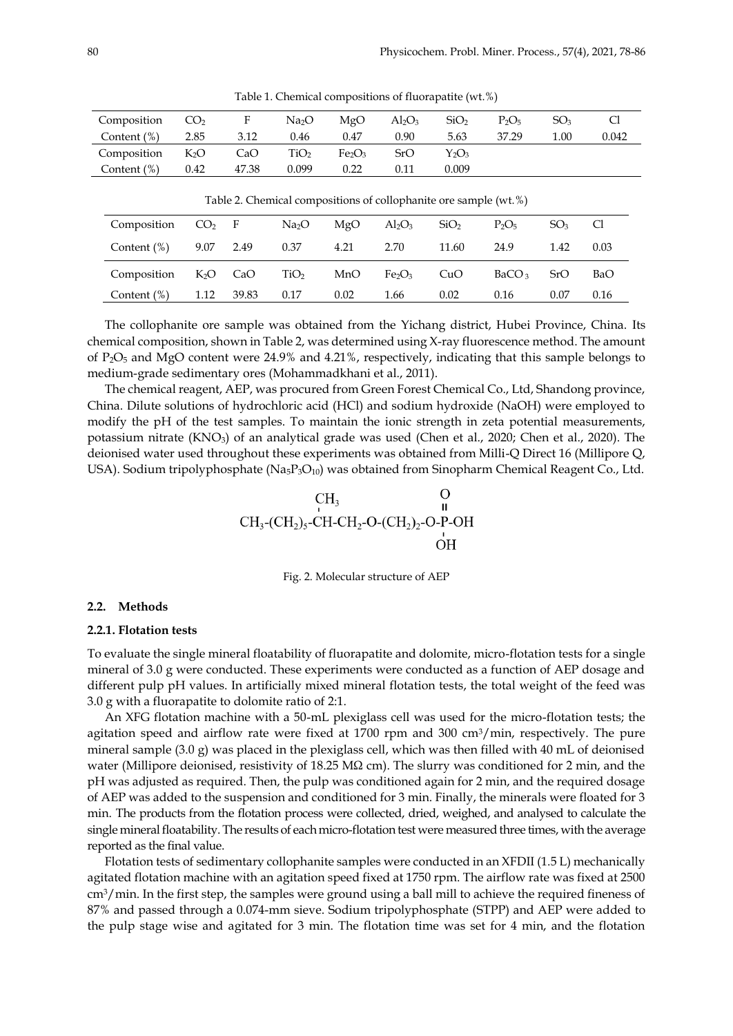| Composition                                                      | CO <sub>2</sub> | F     | Na <sub>2</sub> O | MgO                            | $Al_2O_3$ | SiO <sub>2</sub> | $P_2O_5$ | SO <sub>3</sub> | Cl    |  |
|------------------------------------------------------------------|-----------------|-------|-------------------|--------------------------------|-----------|------------------|----------|-----------------|-------|--|
| Content $(\%)$                                                   | 2.85            | 3.12  | 0.46              | 0.47                           | 0.90      | 5.63             | 37.29    | 1.00            | 0.042 |  |
| Composition                                                      | $K_2O$          | CaO   | TiO2              | Fe <sub>2</sub> O <sub>3</sub> | SrO       | $Y_2O_3$         |          |                 |       |  |
| Content $(\%)$                                                   | 0.42            | 47.38 | 0.099             | 0.22                           | 0.11      | 0.009            |          |                 |       |  |
| Table 2. Chemical compositions of collophanite ore sample (wt.%) |                 |       |                   |                                |           |                  |          |                 |       |  |
| Composition                                                      | (1)             | F     | Na <sub>2</sub> O | MgO                            | $Al_2O_3$ | SiO <sub>2</sub> | $P_2O_5$ | SO <sub>3</sub> | Сl    |  |
|                                                                  |                 |       |                   |                                |           |                  |          |                 |       |  |

Content (%) 9.07 2.49 0.37 4.21 2.70 11.60 24.9 1.42 0.03

Composition K<sub>2</sub>O CaO TiO<sub>2</sub> MnO Fe<sub>2</sub>O<sub>3</sub> CuO BaCO<sub>3</sub> SrO BaO Content (%) 1.12 39.83 0.17 0.02 1.66 0.02 0.16 0.07 0.16

Table 1. Chemical compositions of fluorapatite (wt.%)

The collophanite ore sample was obtained from the Yichang district, Hubei Province, China. Its chemical composition, shown in Table 2, was determined using X-ray fluorescence method. The amount of P2O<sup>5</sup> and MgO content were 24.9% and 4.21%, respectively, indicating that this sample belongs to

medium-grade sedimentary ores (Mohammadkhani et al., 2011).

The chemical reagent, AEP, was procured from Green Forest Chemical Co., Ltd, Shandong province, China. Dilute solutions of hydrochloric acid (HCl) and sodium hydroxide (NaOH) were employed to modify the pH of the test samples. To maintain the ionic strength in zeta potential measurements, potassium nitrate (KNO3) of an analytical grade was used (Chen et al., 2020; Chen et al., 2020). The deionised water used throughout these experiments was obtained from Milli-Q Direct 16 (Millipore Q, USA). Sodium tripolyphosphate  $(Na_5P_3O_{10})$  was obtained from Sinopharm Chemical Reagent Co., Ltd.



Fig. 2. Molecular structure of AEP

#### **2.2. Methods**

#### **2.2.1. Flotation tests**

To evaluate the single mineral floatability of fluorapatite and dolomite, micro-flotation tests for a single mineral of 3.0 g were conducted. These experiments were conducted as a function of AEP dosage and different pulp pH values. In artificially mixed mineral flotation tests, the total weight of the feed was 3.0 g with a fluorapatite to dolomite ratio of 2:1.

An XFG flotation machine with a 50-mL plexiglass cell was used for the micro-flotation tests; the agitation speed and airflow rate were fixed at  $1700$  rpm and  $300 \text{ cm}^3/\text{min}$ , respectively. The pure mineral sample (3.0 g) was placed in the plexiglass cell, which was then filled with 40 mL of deionised water (Millipore deionised, resistivity of 18.25 MΩ cm). The slurry was conditioned for 2 min, and the pH was adjusted as required. Then, the pulp was conditioned again for 2 min, and the required dosage of AEP was added to the suspension and conditioned for 3 min. Finally, the minerals were floated for 3 min. The products from the flotation process were collected, dried, weighed, and analysed to calculate the single mineral floatability. The results of each micro-flotation test were measured three times, with the average reported as the final value.

Flotation tests of sedimentary collophanite samples were conducted in an XFDII (1.5 L) mechanically agitated flotation machine with an agitation speed fixed at 1750 rpm. The airflow rate was fixed at 2500 cm3/min. In the first step, the samples were ground using a ball mill to achieve the required fineness of 87% and passed through a 0.074-mm sieve. Sodium tripolyphosphate (STPP) and AEP were added to the pulp stage wise and agitated for 3 min. The flotation time was set for 4 min, and the flotation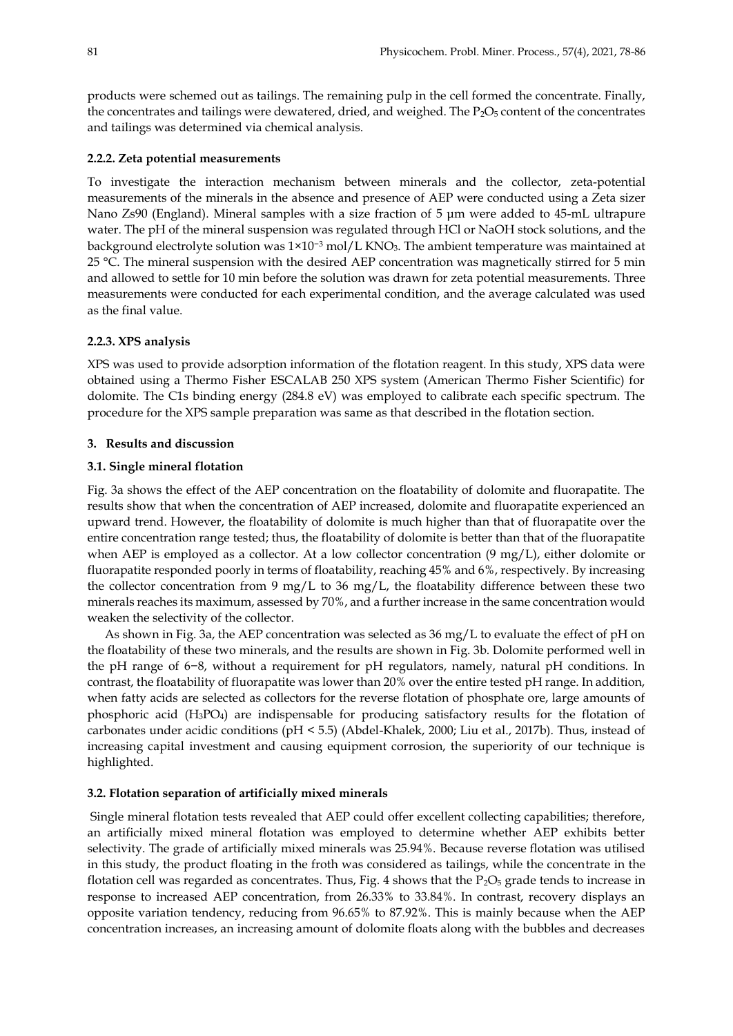products were schemed out as tailings. The remaining pulp in the cell formed the concentrate. Finally, the concentrates and tailings were dewatered, dried, and weighed. The  $P_2O_5$  content of the concentrates and tailings was determined via chemical analysis.

## **2.2.2. Zeta potential measurements**

To investigate the interaction mechanism between minerals and the collector, zeta-potential measurements of the minerals in the absence and presence of AEP were conducted using a Zeta sizer Nano Zs90 (England). Mineral samples with a size fraction of 5 μm were added to 45-mL ultrapure water. The pH of the mineral suspension was regulated through HCl or NaOH stock solutions, and the background electrolyte solution was 1×10−3 mol/L KNO3. The ambient temperature was maintained at 25 °C. The mineral suspension with the desired AEP concentration was magnetically stirred for 5 min and allowed to settle for 10 min before the solution was drawn for zeta potential measurements. Three measurements were conducted for each experimental condition, and the average calculated was used as the final value.

## **2.2.3. XPS analysis**

XPS was used to provide adsorption information of the flotation reagent. In this study, XPS data were obtained using a Thermo Fisher ESCALAB 250 XPS system (American Thermo Fisher Scientific) for dolomite. The C1s binding energy (284.8 eV) was employed to calibrate each specific spectrum. The procedure for the XPS sample preparation was same as that described in the flotation section.

## **3. Results and discussion**

#### **3.1. Single mineral flotation**

Fig. 3a shows the effect of the AEP concentration on the floatability of dolomite and fluorapatite. The results show that when the concentration of AEP increased, dolomite and fluorapatite experienced an upward trend. However, the floatability of dolomite is much higher than that of fluorapatite over the entire concentration range tested; thus, the floatability of dolomite is better than that of the fluorapatite when AEP is employed as a collector. At a low collector concentration  $(9 \text{ mg/L})$ , either dolomite or fluorapatite responded poorly in terms of floatability, reaching 45% and 6%, respectively. By increasing the collector concentration from 9 mg/L to 36 mg/L, the floatability difference between these two minerals reaches its maximum, assessed by 70%, and a further increase in the same concentration would weaken the selectivity of the collector.

As shown in Fig. 3a, the AEP concentration was selected as 36 mg/L to evaluate the effect of pH on the floatability of these two minerals, and the results are shown in Fig. 3b. Dolomite performed well in the pH range of 6−8, without a requirement for pH regulators, namely, natural pH conditions. In contrast, the floatability of fluorapatite was lower than 20% over the entire tested pH range. In addition, when fatty acids are selected as collectors for the reverse flotation of phosphate ore, large amounts of phosphoric acid (H3PO4) are indispensable for producing satisfactory results for the flotation of carbonates under acidic conditions (pH < 5.5) (Abdel-Khalek, 2000; Liu et al., 2017b). Thus, instead of increasing capital investment and causing equipment corrosion, the superiority of our technique is highlighted.

#### **3.2. Flotation separation of artificially mixed minerals**

Single mineral flotation tests revealed that AEP could offer excellent collecting capabilities; therefore, an artificially mixed mineral flotation was employed to determine whether AEP exhibits better selectivity. The grade of artificially mixed minerals was 25.94%. Because reverse flotation was utilised in this study, the product floating in the froth was considered as tailings, while the concentrate in the flotation cell was regarded as concentrates. Thus, Fig. 4 shows that the  $P_2O_5$  grade tends to increase in response to increased AEP concentration, from 26.33% to 33.84%. In contrast, recovery displays an opposite variation tendency, reducing from 96.65% to 87.92%. This is mainly because when the AEP concentration increases, an increasing amount of dolomite floats along with the bubbles and decreases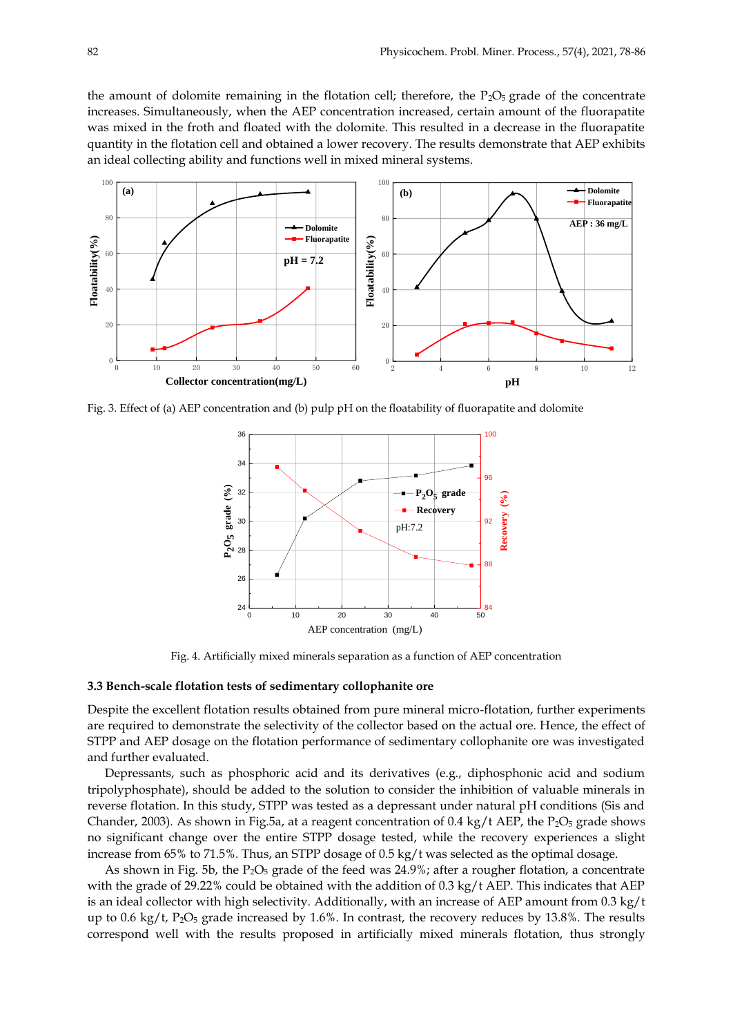the amount of dolomite remaining in the flotation cell; therefore, the  $P_2O_5$  grade of the concentrate increases. Simultaneously, when the AEP concentration increased, certain amount of the fluorapatite was mixed in the froth and floated with the dolomite. This resulted in a decrease in the fluorapatite quantity in the flotation cell and obtained a lower recovery. The results demonstrate that AEP exhibits an ideal collecting ability and functions well in mixed mineral systems.



Fig. 3. Effect of (a) AEP concentration and (b) pulp pH on the floatability of fluorapatite and dolomite



Fig. 4. Artificially mixed minerals separation as a function of AEP concentration

#### **3.3 Bench-scale flotation tests of sedimentary collophanite ore**

Despite the excellent flotation results obtained from pure mineral micro-flotation, further experiments are required to demonstrate the selectivity of the collector based on the actual ore. Hence, the effect of STPP and AEP dosage on the flotation performance of sedimentary collophanite ore was investigated and further evaluated.

Depressants, such as phosphoric acid and its derivatives (e.g., diphosphonic acid and sodium tripolyphosphate), should be added to the solution to consider the inhibition of valuable minerals in reverse flotation. In this study, STPP was tested as a depressant under natural pH conditions (Sis and Chander, 2003). As shown in Fig.5a, at a reagent concentration of  $0.4 \text{ kg/t}$  AEP, the P<sub>2</sub>O<sub>5</sub> grade shows no significant change over the entire STPP dosage tested, while the recovery experiences a slight increase from 65% to 71.5%. Thus, an STPP dosage of 0.5 kg/t was selected as the optimal dosage.

As shown in Fig. 5b, the  $P_2O_5$  grade of the feed was 24.9%; after a rougher flotation, a concentrate with the grade of 29.22% could be obtained with the addition of 0.3 kg/t AEP. This indicates that AEP is an ideal collector with high selectivity. Additionally, with an increase of AEP amount from 0.3 kg/t up to 0.6 kg/t,  $P_2O_5$  grade increased by 1.6%. In contrast, the recovery reduces by 13.8%. The results correspond well with the results proposed in artificially mixed minerals flotation, thus strongly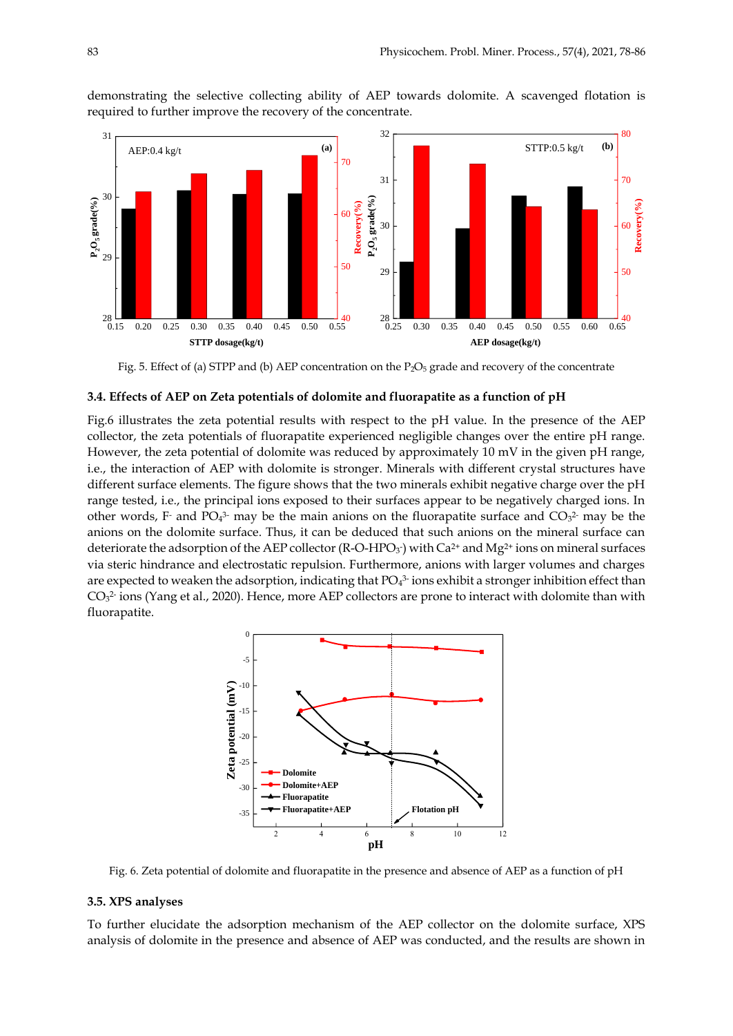

demonstrating the selective collecting ability of AEP towards dolomite. A scavenged flotation is required to further improve the recovery of the concentrate.

Fig. 5. Effect of (a) STPP and (b) AEP concentration on the  $P_2O_5$  grade and recovery of the concentrate

#### **3.4. Effects of AEP on Zeta potentials of dolomite and fluorapatite as a function of pH**

Fig.6 illustrates the zeta potential results with respect to the pH value. In the presence of the AEP collector, the zeta potentials of fluorapatite experienced negligible changes over the entire pH range. However, the zeta potential of dolomite was reduced by approximately 10 mV in the given pH range, i.e., the interaction of AEP with dolomite is stronger. Minerals with different crystal structures have different surface elements. The figure shows that the two minerals exhibit negative charge over the pH range tested, i.e., the principal ions exposed to their surfaces appear to be negatively charged ions. In other words, F and PO<sub>4</sub><sup>3</sup> may be the main anions on the fluorapatite surface and  $CO<sub>3</sub><sup>2</sup>$  may be the anions on the dolomite surface. Thus, it can be deduced that such anions on the mineral surface can deteriorate the adsorption of the AEP collector (R-O-HPO<sub>3</sub>) with  $Ca^{2+}$  and Mg<sup>2+</sup> ions on mineral surfaces via steric hindrance and electrostatic repulsion. Furthermore, anions with larger volumes and charges are expected to weaken the adsorption, indicating that  $PO<sub>4</sub><sup>3</sup>$  ions exhibit a stronger inhibition effect than  $CO<sub>3</sub><sup>2</sup>$  ions (Yang et al., 2020). Hence, more AEP collectors are prone to interact with dolomite than with fluorapatite.



Fig. 6. Zeta potential of dolomite and fluorapatite in the presence and absence of AEP as a function of pH

## **3.5. XPS analyses**

To further elucidate the adsorption mechanism of the AEP collector on the dolomite surface, XPS analysis of dolomite in the presence and absence of AEP was conducted, and the results are shown in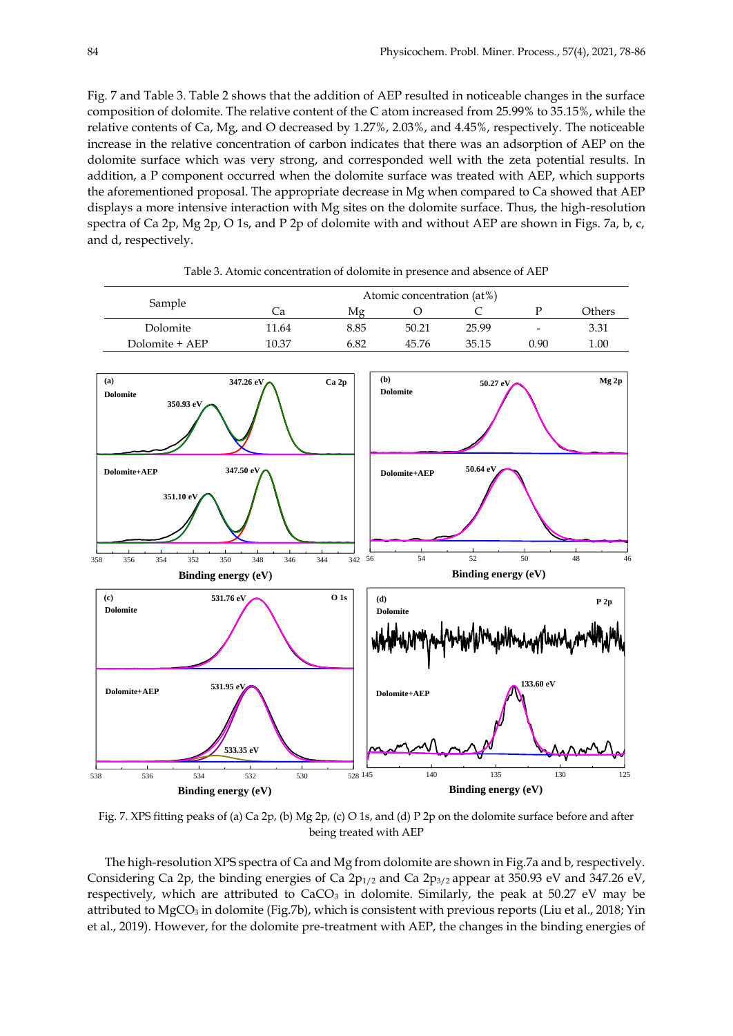Fig. 7 and Table 3. Table 2 shows that the addition of AEP resulted in noticeable changes in the surface composition of dolomite. The relative content of the C atom increased from 25.99% to 35.15%, while the relative contents of Ca, Mg, and O decreased by 1.27%, 2.03%, and 4.45%, respectively. The noticeable increase in the relative concentration of carbon indicates that there was an adsorption of AEP on the dolomite surface which was very strong, and corresponded well with the zeta potential results. In addition, a P component occurred when the dolomite surface was treated with AEP, which supports the aforementioned proposal. The appropriate decrease in Mg when compared to Ca showed that AEP displays a more intensive interaction with Mg sites on the dolomite surface. Thus, the high-resolution spectra of Ca 2p, Mg 2p, O 1s, and P 2p of dolomite with and without AEP are shown in Figs. 7a, b, c, and d, respectively.



Table 3. Atomic concentration of dolomite in presence and absence of AEP

Fig. 7. XPS fitting peaks of (a) Ca 2p, (b) Mg 2p, (c) O 1s, and (d) P 2p on the dolomite surface before and after being treated with AEP

The high-resolution XPS spectra of Ca and Mg from dolomite are shown in Fig.7a and b, respectively. Considering Ca 2p, the binding energies of Ca  $2p_{1/2}$  and Ca  $2p_{3/2}$  appear at 350.93 eV and 347.26 eV, respectively, which are attributed to  $CaCO<sub>3</sub>$  in dolomite. Similarly, the peak at 50.27 eV may be attributed to MgCO<sub>3</sub> in dolomite (Fig.7b), which is consistent with previous reports (Liu et al., 2018; Yin et al., 2019). However, for the dolomite pre-treatment with AEP, the changes in the binding energies of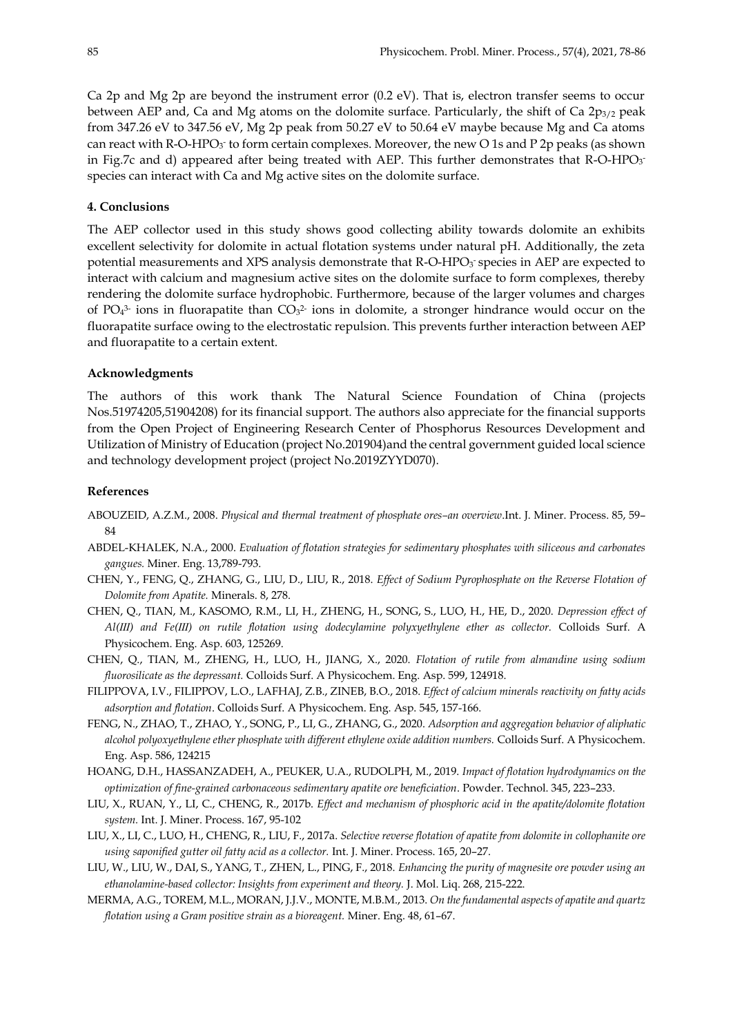Ca 2p and Mg 2p are beyond the instrument error  $(0.2 \text{ eV})$ . That is, electron transfer seems to occur between AEP and, Ca and Mg atoms on the dolomite surface. Particularly, the shift of Ca  $2p_{3/2}$  peak from 347.26 eV to 347.56 eV, Mg 2p peak from 50.27 eV to 50.64 eV maybe because Mg and Ca atoms can react with R-O-HPO<sub>3</sub><sup>-</sup> to form certain complexes. Moreover, the new O 1s and P 2p peaks (as shown in Fig.7c and d) appeared after being treated with AEP. This further demonstrates that R-O-HPO<sub>3</sub> species can interact with Ca and Mg active sites on the dolomite surface.

## **4. Conclusions**

The AEP collector used in this study shows good collecting ability towards dolomite an exhibits excellent selectivity for dolomite in actual flotation systems under natural pH. Additionally, the zeta potential measurements and XPS analysis demonstrate that  $R$ -O-HPO<sub>3</sub> species in AEP are expected to interact with calcium and magnesium active sites on the dolomite surface to form complexes, thereby rendering the dolomite surface hydrophobic. Furthermore, because of the larger volumes and charges of  $PO<sub>4</sub><sup>3</sup>$  ions in fluorapatite than  $CO<sub>3</sub><sup>2</sup>$  ions in dolomite, a stronger hindrance would occur on the fluorapatite surface owing to the electrostatic repulsion. This prevents further interaction between AEP and fluorapatite to a certain extent.

## **Acknowledgments**

The authors of this work thank The Natural Science Foundation of China (projects Nos.51974205,51904208) for its financial support. The authors also appreciate for the financial supports from the Open Project of Engineering Research Center of Phosphorus Resources Development and Utilization of Ministry of Education (project No.201904)and the central government guided local science and technology development project (project No.2019ZYYD070).

## **References**

- ABOUZEID, A.Z.M., 2008. *Physical and thermal treatment of phosphate ores–an overview*.Int. J. Miner. Process. 85, 59– 84
- ABDEL-KHALEK, N.A., 2000. *Evaluation of flotation strategies for sedimentary phosphates with siliceous and carbonates gangues.* Miner. Eng. 13,789-793.
- CHEN, Y., FENG, Q., ZHANG, G., LIU, D., LIU, R., 2018. *Effect of Sodium Pyrophosphate on the Reverse Flotation of Dolomite from Apatite.* Minerals. 8, 278.
- CHEN, Q., TIAN, M., KASOMO, R.M., LI, H., ZHENG, H., SONG, S., LUO, H., HE, D., 2020. *Depression effect of Al(Ⅲ) and Fe(Ⅲ) on rutile flotation using dodecylamine polyxyethylene ether as collector.* Colloids Surf. A Physicochem. Eng. Asp. 603, 125269.
- CHEN, Q., TIAN, M., ZHENG, H., LUO, H., JIANG, X., 2020. *Flotation of rutile from almandine using sodium fluorosilicate as the depressant.* Colloids Surf. A Physicochem. Eng. Asp. 599, 124918.
- FILIPPOVA, I.V., FILIPPOV, L.O., LAFHAJ, Z.B., ZINEB, B.O., 2018. *Effect of calcium minerals reactivity on fatty acids adsorption and flotation*. Colloids Surf. A Physicochem. Eng. Asp. 545, 157-166.
- FENG, N., ZHAO, T., ZHAO, Y., SONG, P., LI, G., ZHANG, G., 2020. *Adsorption and aggregation behavior of aliphatic alcohol polyoxyethylene ether phosphate with different ethylene oxide addition numbers.* Colloids Surf. A Physicochem. Eng. Asp. 586, 124215
- HOANG, D.H., HASSANZADEH, A., PEUKER, U.A., RUDOLPH, M., 2019. *Impact of flotation hydrodynamics on the optimization of fine-grained carbonaceous sedimentary apatite ore beneficiation*. Powder. Technol. 345, 223–233.
- LIU, X., RUAN, Y., LI, C., CHENG, R., 2017b. *Effect and mechanism of phosphoric acid in the apatite/dolomite flotation system.* Int. J. Miner. Process. 167, 95-102
- LIU, X., LI, C., LUO, H., CHENG, R., LIU, F., 2017a. *Selective reverse flotation of apatite from dolomite in collophanite ore using saponified gutter oil fatty acid as a collector.* Int. J. Miner. Process. 165, 20–27.
- LIU, W., LIU, W., DAI, S., YANG, T., ZHEN, L., PING, F., 2018. *Enhancing the purity of magnesite ore powder using an ethanolamine-based collector: Insights from experiment and theory.* J. Mol. Liq. 268, 215-222.
- MERMA, A.G., TOREM, M.L., MORAN, J.J.V., MONTE, M.B.M., 2013. *On the fundamental aspects of apatite and quartz flotation using a Gram positive strain as a bioreagent.* Miner. Eng. 48, 61–67.